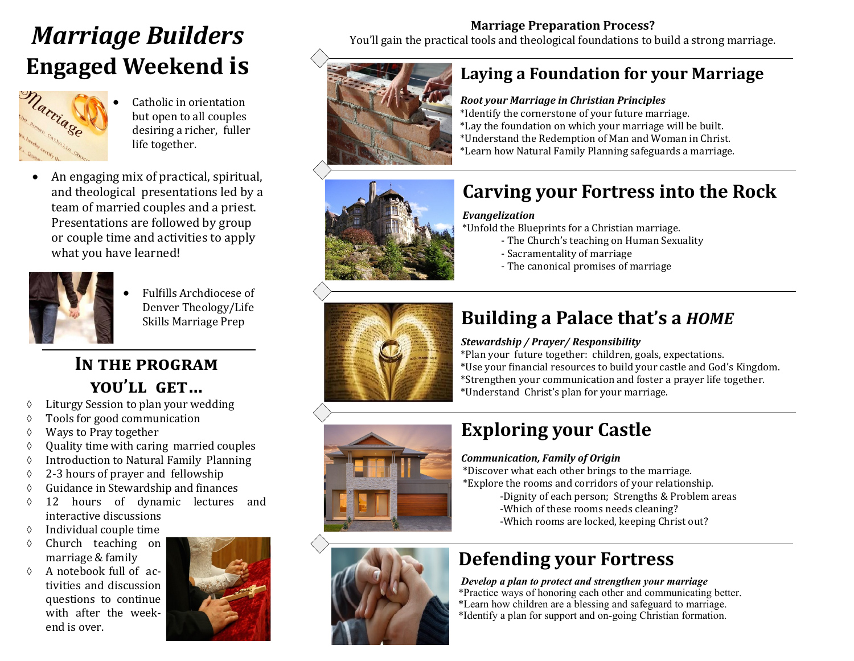# **Engaged Weekend is**



- Catholic in orientation but open to all couples desiring a richer, fuller life together.
- An engaging mix of practical, spiritual, and theological presentations led by a team of married couples and a priest. Presentations are followed by group or couple time and activities to apply what you have learned!



• Fulfills Archdiocese of Denver Theology/Life Skills Marriage Prep

### IN THE PROGRAM **you'll get…**

- Liturgy Session to plan your wedding
- Tools for good communication
- Ways to Pray together
- $\Diamond$  Quality time with caring married couples
- Introduction to Natural Family Planning
- 2-3 hours of prayer and fellowship
- Guidance in Stewardship and finances
- 12 hours of dynamic lectures and interactive discussions
- $\Diamond$  Individual couple time
- $\Diamond$  Church teaching on marriage & family
- $\Diamond$  A notebook full of activities and discussion questions to continue with after the weekend is over.



**Marriage Preparation Process?**<br>*You'll gain the practical tools and theological foundations to build a strong marriage.* 



### **Laying a Foundation for your Marriage**

#### *Root your Marriage in Christian Principles*

\*Identify the cornerstone of your future marriage. \*Lay the foundation on which your marriage will be built. \*Understand the Redemption of Man and Woman in Christ. \*Learn how Natural Family Planning safeguards a marriage.



### **Carving your Fortress into the Rock**

#### *Evangelization*

\*Unfold the Blueprints for a Christian marriage.

- The Church's teaching on Human Sexuality
- Sacramentality of marriage
- The canonical promises of marriage



## **Building a Palace that's a** *HOME*

#### *Stewardship / Prayer/ Responsibility*

\*Plan your future together: children, goals, expectations. \*Use your financial resources to build your castle and God's Kingdom. \*Strengthen your communication and foster a prayer life together. \*Understand Christ's plan for your marriage.



## **Exploring your Castle**

#### *Communication, Family of Origin*

\*Discover what each other brings to the marriage. \*Explore the rooms and corridors of your relationship.

- -Dignity of each person; Strengths & Problem areas
- -Which of these rooms needs cleaning?
- -Which rooms are locked, keeping Christ out?

## **Defending your Fortress**

*Develop a plan to protect and strengthen your marriage* \*Practice ways of honoring each other and communicating better. \*Learn how children are a blessing and safeguard to marriage. \*Identify a plan for support and on-going Christian formation.